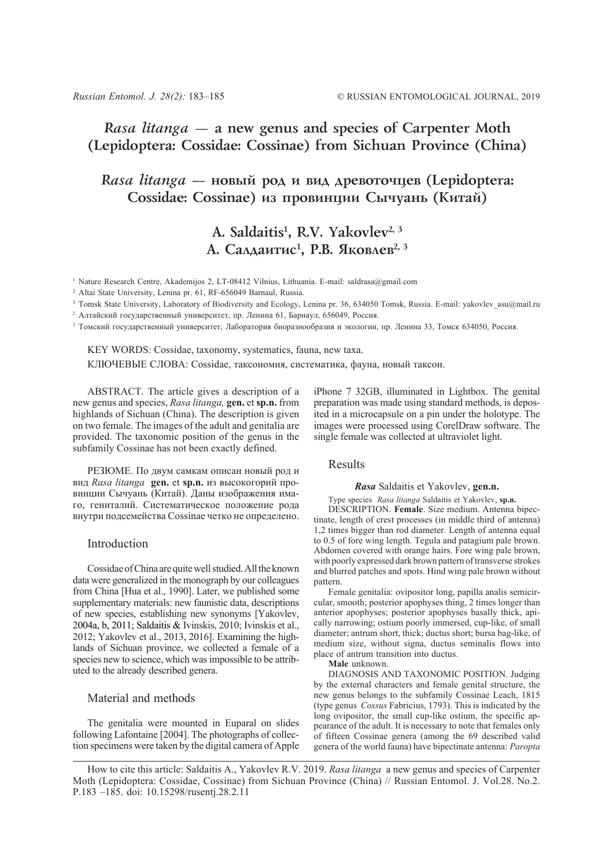## *Rasa litanga —* **a new genus and species of Carpenter Moth (Lepidoptera: Cossidae: Cossinae) from Sichuan Province (China)**

# *Rasa litanga* — новый род и вид древоточцев (Lepidoptera: Cossidae: Cossinae) из провинции Сычуань (Китай)

# A. Saldaitis<sup>1</sup>, R.V. Yakovlev<sup>2, 3</sup> А. Салдаитис<sup>1</sup>, Р.В. Яковлев<sup>2, 3</sup>

<sup>1</sup> Nature Research Centre, Akademijos 2, LT-08412 Vilnius, Lithuania. E-mail: saldrasa@gmail.com

<sup>2</sup> Altai State University, Lenina pr. 61, RF-656049 Barnaul, Russia.

<sup>3</sup> Tomsk State University, Laboratory of Biodiversity and Ecology, Lenina pr. 36, 634050 Tomsk, Russia. E-mail: yakovlev\_asu@mail.ru

<sup>2</sup> Алтайский государственный университет, пр. Ленина 61, Барнаул, 656049, Россия.

<sup>3</sup> Томский государственный университет, Лаборатория биоразнообразия и экологии, пр. Ленина 33, Томск 634050, Россия.

KEY WORDS: Cossidae, taxonomy, systematics, fauna, new taxa. КЛЮЧЕВЫЕ СЛОВА: Cossidae, таксономия, систематика, фауна, новый таксон.

ABSTRACT. The article gives a description of a new genus and species, *Rasa litanga,* **gen.** et **sp.n.** from highlands of Sichuan (China). The description is given on two female. The images of the adult and genitalia are provided. The taxonomic position of the genus in the subfamily Cossinae has not been exactly defined.

РЕЗЮМЕ. По двум самкам описан новый род и вид *Rasa litanga* **gen.** et **sp.n.** из высокогорий провинции Сычуань (Китай). Даны изображения имаго, гениталий. Систематическое положение рода внутри подсемейства Cossinae четко не определено.

### Introduction

Cossidae of China are quite well studied. All the known data were generalized in the monograph by our colleagues from China [Hua et al., 1990]. Later, we published some supplementary materials: new faunistic data, descriptions of new species, establishing new synonyms [Yakovlev, 2004a, b, 2011; Saldaitis & Ivinskis, 2010; Ivinskis et al., 2012; Yakovlev et al., 2013, 2016]. Examining the highlands of Sichuan province, we collected a female of a species new to science, which was impossible to be attributed to the already described genera.

### Material and methods

The genitalia were mounted in Euparal on slides following Lafontaine [2004]. The photographs of collection specimens were taken by the digital camera of Apple iPhone 7 32GB, illuminated in Lightbox. The genital preparation was made using standard methods, is deposited in a microcapsule on a pin under the holotype. The images were processed using CorelDraw software. The single female was collected at ultraviolet light.

Results

#### *Rasa* Saldaitis et Yakovlev, **gen.n.**

Type species *Rasa litanga* Saldaitis et Yakovlev, **sp.n.**

DESCRIPTION. **Female**. Size medium. Antenna bipectinate, length of crest processes (in middle third of antenna) 1,2 times bigger than rod diameter. Length of antenna equal to 0.5 of fore wing length. Tegula and patagium pale brown. Abdomen covered with orange hairs. Fore wing pale brown, with poorly expressed dark brown pattern of transverse strokes and blurred patches and spots. Hind wing pale brown without pattern.

Female genitalia: ovipositor long, papilla analis semicircular, smooth; posterior apophyses thing, 2 times longer than anterior apophyses; posterior apophyses basally thick, apically narrowing; ostium poorly immersed, cup-like, of small diameter; antrum short, thick; ductus short; bursa bag-like, of medium size, without signa, ductus seminalis flows into place of antrum transition into ductus.

**Male** unknown.

DIAGNOSIS AND TAXONOMIC POSITION. Judging by the external characters and female genital structure, the new genus belongs to the subfamily Cossinae Leach, 1815 (type genus *Cossus* Fabricius, 1793). This is indicated by the long ovipositor, the small cup-like ostium, the specific appearance of the adult. It is necessary to note that females only of fifteen Cossinae genera (among the 69 described valid genera of the world fauna) have bipectinate antenna: *Paropta*

How to cite this article: Saldaitis A., Yakovlev R.V. 2019. *Rasa litanga* a new genus and species of Carpenter Moth (Lepidoptera: Cossidae, Cossinae) from Sichuan Province (China) // Russian Entomol. J. Vol.28. No.2. P.183 –185. doi: 10.15298/rusentj.28.2.11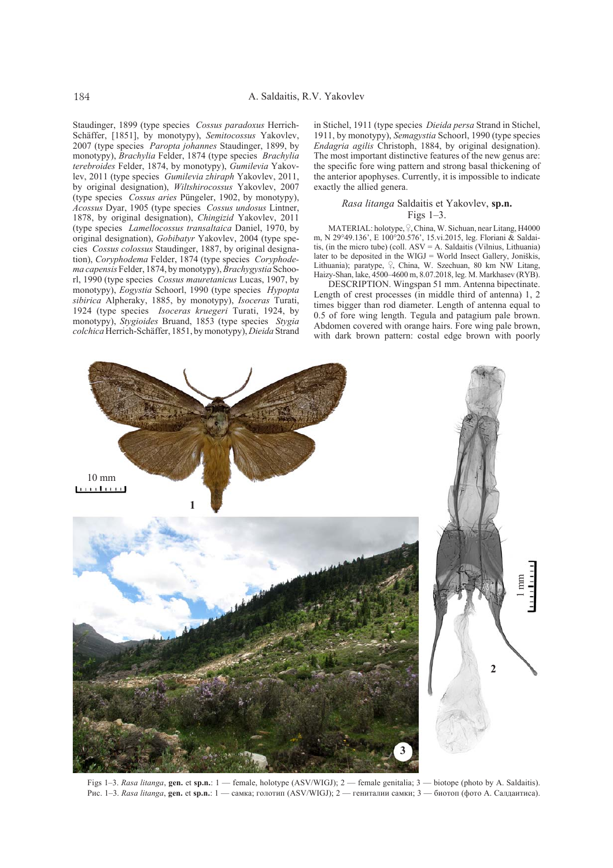Staudinger, 1899 (type species *Cossus paradoxus* Herrich-Schäffer, [1851], by monotypy), *Semitocossus* Yakovlev, 2007 (type species *Paropta johannes* Staudinger, 1899, by monotypy), *Brachylia* Felder, 1874 (type species *Brachylia terebroides* Felder, 1874, by monotypy), *Gumilevia* Yakovlev, 2011 (type species *Gumilevia zhiraph* Yakovlev, 2011, by original designation), *Wiltshirocossus* Yakovlev, 2007 (type species *Cossus aries* Püngeler, 1902, by monotypy), *Acossus* Dyar, 1905 (type species *Cossus undosus* Lintner, 1878, by original designation), *Chingizid* Yakovlev, 2011 (type species *Lamellocossus transaltaica* Daniel, 1970, by original designation), *Gobibatyr* Yakovlev, 2004 (type species *Cossus colossus* Staudinger, 1887, by original designation), *Coryphodema* Felder, 1874 (type species *Coryphodema capensis* Felder, 1874, by monotypy), *Brachygystia* Schoorl, 1990 (type species *Cossus mauretanicus* Lucas, 1907, by monotypy), *Eogystia* Schoorl, 1990 (type species *Hypopta sibirica* Alpheraky, 1885, by monotypy), *Isoceras* Turati, 1924 (type species *Isoceras kruegeri* Turati, 1924, by monotypy), *Stygioides* Bruand, 1853 (type species *Stygia colchica* Herrich-Schäffer, 1851, by monotypy), *Dieida* Strand

in Stichel, 1911 (type species *Dieida persa* Strand in Stichel, 1911, by monotypy), *Semagystia* Schoorl, 1990 (type species *Endagria agilis* Christoph, 1884, by original designation). The most important distinctive features of the new genus are: the specific fore wing pattern and strong basal thickening of the anterior apophyses. Currently, it is impossible to indicate exactly the allied genera.

#### *Rasa litanga* Saldaitis et Yakovlev, **sp.n.** Figs 1–3.

MATERIAL: holotype,  $\frac{1}{2}$ , China, W. Sichuan, near Litang, H4000 m, N 29°49.136', E 100°20.576', 15.vi.2015, leg. Floriani & Saldaitis, (in the micro tube) (coll. ASV = A. Saldaitis (Vilnius, Lithuania) later to be deposited in the WIGJ = World Insect Gallery, Joniškis, Lithuania); paratype, <sup>Q</sup>, China, W. Szechuan, 80 km NW Litang, Haizy-Shan, lake, 4500–4600 m, 8.07.2018, leg. M. Markhasev (RYB).

DESCRIPTION. Wingspan 51 mm. Antenna bipectinate. Length of crest processes (in middle third of antenna) 1, 2 times bigger than rod diameter. Length of antenna equal to 0.5 of fore wing length. Tegula and patagium pale brown. Abdomen covered with orange hairs. Fore wing pale brown, with dark brown pattern: costal edge brown with poorly

10 mm mining **1** 1 mm**2 3**

Figs 1–3. *Rasa litanga*, **gen.** et **sp.n.**: 1 — female, holotype (ASV/WIGJ); 2 — female genitalia; 3 — biotope (photo by A. Saldaitis). Рис. 1–3. *Rasa litanga*, **gen.** et **sp.n.**: 1 — самка; голотип (ASV/WIGJ); 2 — гениталии самки; 3 — биотоп (фото А. Салдаитиса).